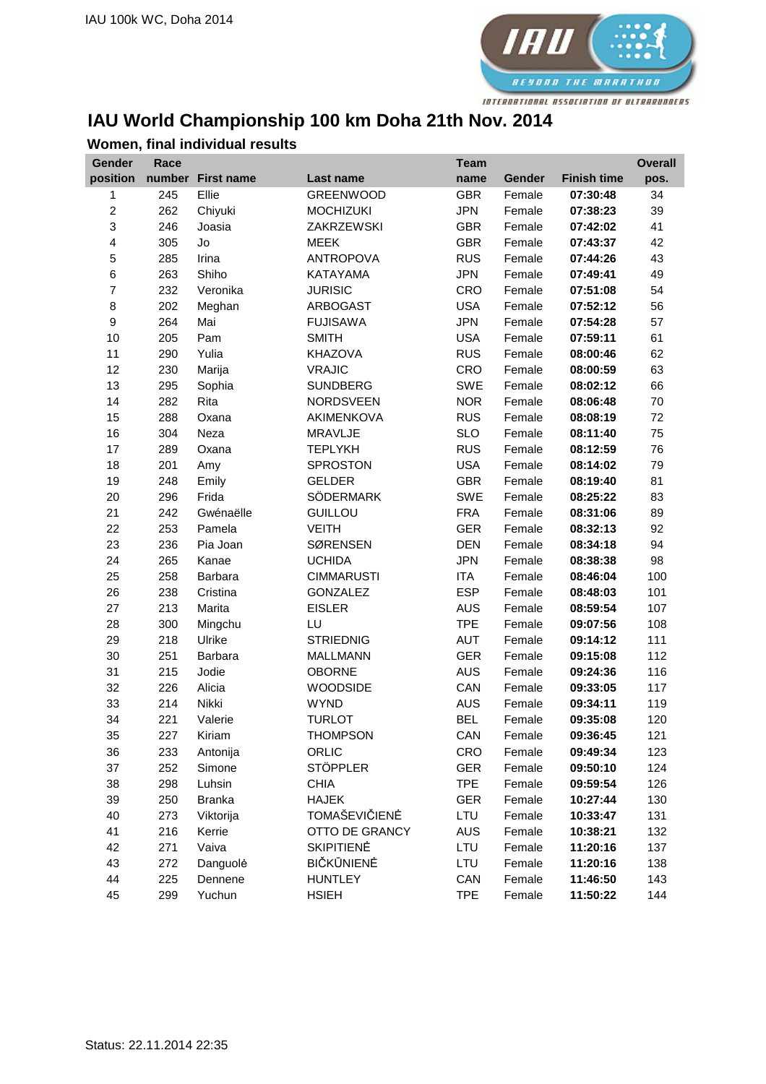

## **IAU World Championship 100 km Doha 21th Nov. 2014**

| Gender           | Race |                   |                       | <b>Team</b> |        |                    | <b>Overall</b> |
|------------------|------|-------------------|-----------------------|-------------|--------|--------------------|----------------|
| position         |      | number First name | Last name             | name        | Gender | <b>Finish time</b> | pos.           |
| 1                | 245  | Ellie             | <b>GREENWOOD</b>      | <b>GBR</b>  | Female | 07:30:48           | 34             |
| $\overline{c}$   | 262  | Chiyuki           | <b>MOCHIZUKI</b>      | <b>JPN</b>  | Female | 07:38:23           | 39             |
| 3                | 246  | Joasia            | <b>ZAKRZEWSKI</b>     | <b>GBR</b>  | Female | 07:42:02           | 41             |
| 4                | 305  | Jo                | <b>MEEK</b>           | <b>GBR</b>  | Female | 07:43:37           | 42             |
| 5                | 285  | Irina             | <b>ANTROPOVA</b>      | <b>RUS</b>  | Female | 07:44:26           | 43             |
| $\,6$            | 263  | Shiho             | KATAYAMA              | <b>JPN</b>  | Female | 07:49:41           | 49             |
| $\overline{7}$   | 232  | Veronika          | <b>JURISIC</b>        | CRO         | Female | 07:51:08           | 54             |
| $\bf8$           | 202  | Meghan            | ARBOGAST              | <b>USA</b>  | Female | 07:52:12           | 56             |
| $\boldsymbol{9}$ | 264  | Mai               | <b>FUJISAWA</b>       | <b>JPN</b>  | Female | 07:54:28           | 57             |
| 10               | 205  | Pam               | <b>SMITH</b>          | <b>USA</b>  | Female | 07:59:11           | 61             |
| 11               | 290  | Yulia             | <b>KHAZOVA</b>        | <b>RUS</b>  | Female | 08:00:46           | 62             |
| 12               | 230  | Marija            | <b>VRAJIC</b>         | CRO         | Female | 08:00:59           | 63             |
| 13               | 295  | Sophia            | <b>SUNDBERG</b>       | <b>SWE</b>  | Female | 08:02:12           | 66             |
| 14               | 282  | Rita              | <b>NORDSVEEN</b>      | <b>NOR</b>  | Female | 08:06:48           | 70             |
| 15               | 288  | Oxana             | AKIMENKOVA            | <b>RUS</b>  | Female | 08:08:19           | 72             |
| 16               | 304  | Neza              | MRAVLJE               | <b>SLO</b>  | Female | 08:11:40           | 75             |
| 17               | 289  | Oxana             | <b>TEPLYKH</b>        | <b>RUS</b>  | Female | 08:12:59           | 76             |
| 18               | 201  | Amy               | <b>SPROSTON</b>       | <b>USA</b>  | Female | 08:14:02           | 79             |
| 19               | 248  | Emily             | <b>GELDER</b>         | <b>GBR</b>  | Female | 08:19:40           | 81             |
| 20               | 296  | Frida             | SÖDERMARK             | <b>SWE</b>  | Female | 08:25:22           | 83             |
| 21               | 242  | Gwénaëlle         | <b>GUILLOU</b>        | <b>FRA</b>  | Female | 08:31:06           | 89             |
| 22               | 253  | Pamela            | <b>VEITH</b>          | <b>GER</b>  | Female | 08:32:13           | 92             |
| 23               | 236  | Pia Joan          | <b>SØRENSEN</b>       | <b>DEN</b>  | Female | 08:34:18           | 94             |
| 24               | 265  | Kanae             | <b>UCHIDA</b>         | <b>JPN</b>  | Female | 08:38:38           | 98             |
| 25               | 258  | Barbara           | <b>CIMMARUSTI</b>     | <b>ITA</b>  | Female | 08:46:04           | 100            |
| 26               | 238  | Cristina          | <b>GONZALEZ</b>       | <b>ESP</b>  | Female | 08:48:03           | 101            |
| 27               | 213  | Marita            | <b>EISLER</b>         | <b>AUS</b>  | Female | 08:59:54           | 107            |
| 28               | 300  | Mingchu           | LU                    | <b>TPE</b>  | Female | 09:07:56           | 108            |
| 29               | 218  | Ulrike            | <b>STRIEDNIG</b>      | <b>AUT</b>  | Female | 09:14:12           | 111            |
| 30               | 251  | Barbara           | <b>MALLMANN</b>       | <b>GER</b>  | Female | 09:15:08           | 112            |
| 31               | 215  | Jodie             | <b>OBORNE</b>         | <b>AUS</b>  | Female | 09:24:36           | 116            |
| 32               | 226  | Alicia            | <b>WOODSIDE</b>       | CAN         | Female | 09:33:05           | 117            |
| 33               | 214  | Nikki             | <b>WYND</b>           | <b>AUS</b>  | Female | 09:34:11           | 119            |
| 34               | 221  | Valerie           | <b>TURLOT</b>         | <b>BEL</b>  | Female | 09:35:08           | 120            |
| 35               | 227  | Kiriam            | <b>THOMPSON</b>       | CAN         | Female | 09:36:45           | 121            |
| 36               | 233  | Antonija          | ORLIC                 | CRO         | Female | 09:49:34           | 123            |
| 37               | 252  | Simone            | <b>STÖPPLER</b>       | <b>GER</b>  | Female | 09:50:10           | 124            |
| 38               | 298  | Luhsin            | <b>CHIA</b>           | <b>TPE</b>  | Female | 09:59:54           | 126            |
| 39               | 250  | <b>Branka</b>     | <b>HAJEK</b>          | <b>GER</b>  | Female | 10:27:44           | 130            |
| 40               | 273  | Viktorija         | TOMAŠEVIČIENĖ         | LTU         | Female | 10:33:47           | 131            |
| 41               | 216  | Kerrie            | <b>OTTO DE GRANCY</b> | AUS         | Female | 10:38:21           | 132            |
| 42               | 271  | Vaiva             | <b>SKIPITIENĖ</b>     | LTU         | Female | 11:20:16           | 137            |
| 43               | 272  | Danguolė          | <b>BIČKŪNIENĖ</b>     | LTU         | Female | 11:20:16           | 138            |
| 44               | 225  | Dennene           | <b>HUNTLEY</b>        | CAN         | Female | 11:46:50           | 143            |
| 45               | 299  | Yuchun            | <b>HSIEH</b>          | <b>TPE</b>  | Female | 11:50:22           | 144            |

## **Women, final individual results**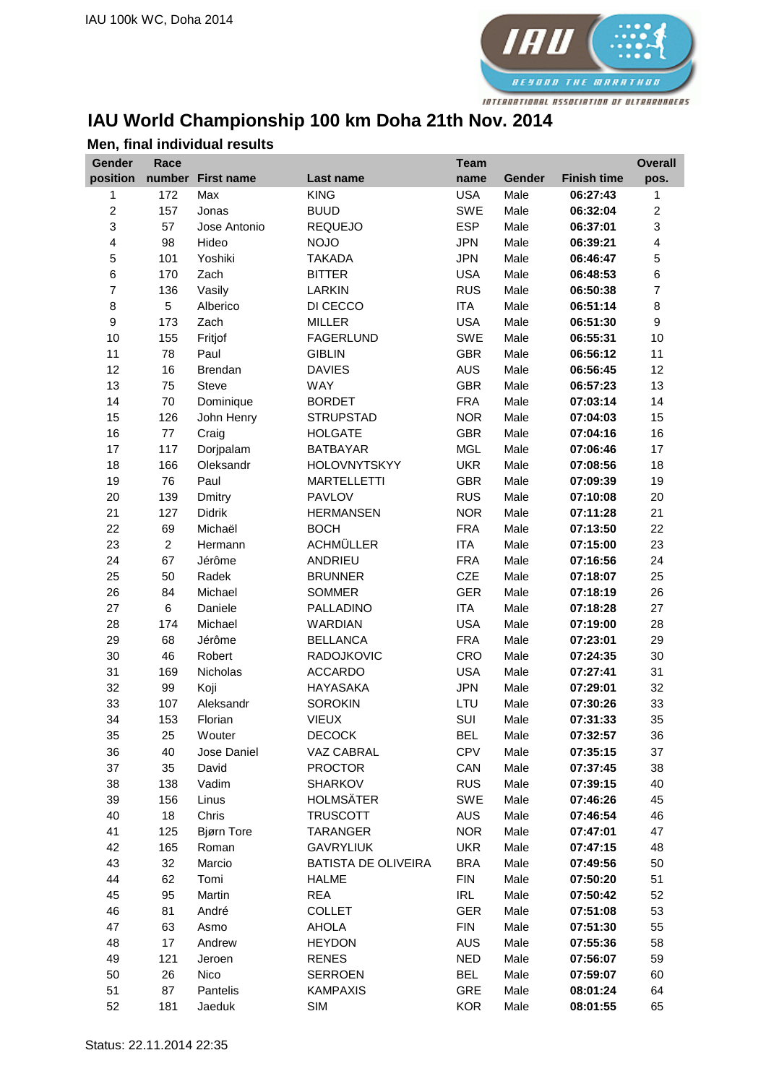

## **IAU World Championship 100 km Doha 21th Nov. 2014**

| Gender                   | Race           |                   |                            | <b>Team</b> |        |                    | <b>Overall</b>          |
|--------------------------|----------------|-------------------|----------------------------|-------------|--------|--------------------|-------------------------|
| position                 |                | number First name | <b>Last name</b>           | name        | Gender | <b>Finish time</b> | pos.                    |
| 1                        | 172            | Max               | <b>KING</b>                | <b>USA</b>  | Male   | 06:27:43           | 1                       |
| $\overline{c}$           | 157            | Jonas             | <b>BUUD</b>                | <b>SWE</b>  | Male   | 06:32:04           | $\overline{c}$          |
| 3                        | 57             | Jose Antonio      | <b>REQUEJO</b>             | <b>ESP</b>  | Male   | 06:37:01           | 3                       |
| 4                        | 98             | Hideo             | <b>NOJO</b>                | <b>JPN</b>  | Male   | 06:39:21           | 4                       |
| 5                        | 101            | Yoshiki           | <b>TAKADA</b>              | <b>JPN</b>  | Male   | 06:46:47           | 5                       |
| $\,6$                    | 170            | Zach              | <b>BITTER</b>              | <b>USA</b>  | Male   | 06:48:53           | 6                       |
| $\overline{\mathcal{I}}$ | 136            | Vasily            | <b>LARKIN</b>              | <b>RUS</b>  | Male   | 06:50:38           | $\overline{\mathbf{7}}$ |
| 8                        | 5              | Alberico          | DI CECCO                   | <b>ITA</b>  | Male   | 06:51:14           | 8                       |
| $\boldsymbol{9}$         | 173            | Zach              | <b>MILLER</b>              | <b>USA</b>  | Male   | 06:51:30           | 9                       |
| 10                       | 155            | Fritjof           | <b>FAGERLUND</b>           | SWE         | Male   | 06:55:31           | 10                      |
| 11                       | 78             | Paul              | <b>GIBLIN</b>              | <b>GBR</b>  | Male   | 06:56:12           | 11                      |
| 12                       | 16             | Brendan           | <b>DAVIES</b>              | <b>AUS</b>  | Male   | 06:56:45           | 12                      |
| 13                       | 75             | Steve             | <b>WAY</b>                 | <b>GBR</b>  | Male   | 06:57:23           | 13                      |
| 14                       | 70             | Dominique         | <b>BORDET</b>              | <b>FRA</b>  | Male   | 07:03:14           | 14                      |
| 15                       | 126            | John Henry        | <b>STRUPSTAD</b>           | <b>NOR</b>  | Male   | 07:04:03           | 15                      |
| 16                       | $77 \,$        | Craig             | <b>HOLGATE</b>             | <b>GBR</b>  | Male   | 07:04:16           | 16                      |
| 17                       | 117            | Dorjpalam         | <b>BATBAYAR</b>            | <b>MGL</b>  | Male   | 07:06:46           | 17                      |
| 18                       | 166            | Oleksandr         | <b>HOLOVNYTSKYY</b>        | <b>UKR</b>  | Male   | 07:08:56           | 18                      |
| 19                       | 76             | Paul              | <b>MARTELLETTI</b>         | <b>GBR</b>  | Male   | 07:09:39           | 19                      |
| 20                       | 139            | Dmitry            | <b>PAVLOV</b>              | <b>RUS</b>  | Male   | 07:10:08           | 20                      |
| 21                       | 127            | Didrik            | <b>HERMANSEN</b>           | <b>NOR</b>  | Male   | 07:11:28           | 21                      |
| 22                       | 69             | Michaël           | <b>BOCH</b>                | <b>FRA</b>  | Male   | 07:13:50           | 22                      |
| 23                       | $\overline{a}$ | Hermann           | <b>ACHMÜLLER</b>           | <b>ITA</b>  | Male   | 07:15:00           | 23                      |
| 24                       | 67             | Jérôme            | ANDRIEU                    | <b>FRA</b>  | Male   | 07:16:56           | 24                      |
| 25                       | 50             | Radek             | <b>BRUNNER</b>             | <b>CZE</b>  | Male   | 07:18:07           | 25                      |
| 26                       | 84             | Michael           | <b>SOMMER</b>              | <b>GER</b>  | Male   | 07:18:19           | 26                      |
| 27                       | 6              | Daniele           | PALLADINO                  | <b>ITA</b>  | Male   | 07:18:28           | 27                      |
| 28                       | 174            | Michael           | WARDIAN                    | <b>USA</b>  | Male   | 07:19:00           | 28                      |
| 29                       | 68             | Jérôme            | <b>BELLANCA</b>            | <b>FRA</b>  | Male   | 07:23:01           | 29                      |
| 30                       | 46             | Robert            | RADOJKOVIC                 | CRO         | Male   | 07:24:35           | 30                      |
| 31                       | 169            | Nicholas          | <b>ACCARDO</b>             | <b>USA</b>  | Male   | 07:27:41           | 31                      |
| 32                       | 99             | Koji              | <b>HAYASAKA</b>            | <b>JPN</b>  | Male   | 07:29:01           | 32                      |
| 33                       | 107            | Aleksandr         | <b>SOROKIN</b>             | LTU         | Male   | 07:30:26           | 33                      |
| 34                       | 153            | Florian           | <b>VIEUX</b>               | SUI         | Male   | 07:31:33           | 35                      |
| 35                       | 25             | Wouter            | <b>DECOCK</b>              | <b>BEL</b>  | Male   | 07:32:57           | 36                      |
| 36                       | 40             | Jose Daniel       | VAZ CABRAL                 | <b>CPV</b>  | Male   | 07:35:15           | 37                      |
| 37                       | 35             | David             | <b>PROCTOR</b>             | CAN         | Male   | 07:37:45           | 38                      |
| 38                       | 138            | Vadim             | <b>SHARKOV</b>             | <b>RUS</b>  | Male   | 07:39:15           | 40                      |
| 39                       | 156            | Linus             | <b>HOLMSÄTER</b>           | <b>SWE</b>  | Male   | 07:46:26           | 45                      |
| 40                       | 18             | Chris             | <b>TRUSCOTT</b>            | <b>AUS</b>  | Male   | 07:46:54           | 46                      |
| 41                       | 125            | <b>Bjørn Tore</b> | <b>TARANGER</b>            | <b>NOR</b>  | Male   | 07:47:01           | 47                      |
| 42                       | 165            | Roman             | <b>GAVRYLIUK</b>           | <b>UKR</b>  | Male   | 07:47:15           | 48                      |
| 43                       | 32             | Marcio            | <b>BATISTA DE OLIVEIRA</b> | <b>BRA</b>  | Male   | 07:49:56           | 50                      |
| 44                       | 62             | Tomi              | <b>HALME</b>               | <b>FIN</b>  | Male   | 07:50:20           | 51                      |
| 45                       | 95             | Martin            | <b>REA</b>                 | <b>IRL</b>  | Male   | 07:50:42           | 52                      |
| 46                       | 81             | André             | <b>COLLET</b>              | <b>GER</b>  | Male   | 07:51:08           | 53                      |
| 47                       | 63             | Asmo              | <b>AHOLA</b>               | <b>FIN</b>  | Male   | 07:51:30           | 55                      |
| 48                       | 17             | Andrew            | <b>HEYDON</b>              | <b>AUS</b>  | Male   | 07:55:36           | 58                      |
| 49                       | 121            | Jeroen            | <b>RENES</b>               | <b>NED</b>  | Male   | 07:56:07           | 59                      |
| 50                       | 26             | Nico              | <b>SERROEN</b>             | <b>BEL</b>  | Male   | 07:59:07           | 60                      |
| 51                       | 87             | Pantelis          | <b>KAMPAXIS</b>            | <b>GRE</b>  | Male   | 08:01:24           | 64                      |
| 52                       | 181            | Jaeduk            | SIM                        | <b>KOR</b>  | Male   | 08:01:55           | 65                      |

## **Men, final individual results**